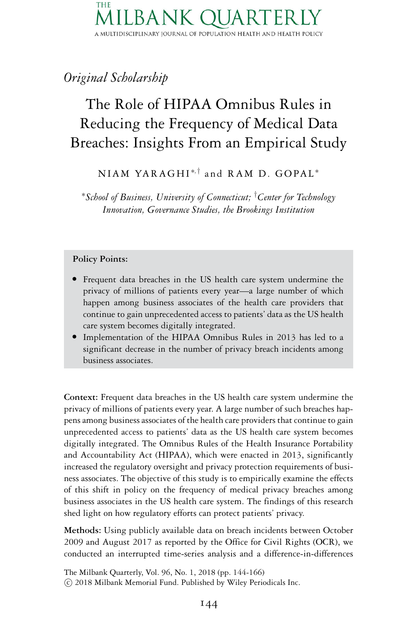### THE .BAN A MULTIDISCIPLINARY JOURNAL OF POPULATION HEALTH AND HEALTH POLICY

# *Original Scholarship*

# The Role of HIPAA Omnibus Rules in Reducing the Frequency of Medical Data Breaches: Insights From an Empirical Study

NIAM YARAGHI<sup>\*,†</sup> and RAM D. GOPAL<sup>\*</sup>

<sup>∗</sup>*School of Business, University of Connecticut;* † *Center for Technology Innovation, Governance Studies, the Brookings Institution*

#### **Policy Points:**

- Frequent data breaches in the US health care system undermine the privacy of millions of patients every year—a large number of which happen among business associates of the health care providers that continue to gain unprecedented access to patients' data as the US health
- care system becomes digitally integrated. Implementation of the HIPAA Omnibus Rules in 2013 has led to a significant decrease in the number of privacy breach incidents among business associates.

**Context:** Frequent data breaches in the US health care system undermine the privacy of millions of patients every year. A large number of such breaches happens among business associates of the health care providers that continue to gain unprecedented access to patients' data as the US health care system becomes digitally integrated. The Omnibus Rules of the Health Insurance Portability and Accountability Act (HIPAA), which were enacted in 2013, significantly increased the regulatory oversight and privacy protection requirements of business associates. The objective of this study is to empirically examine the effects of this shift in policy on the frequency of medical privacy breaches among business associates in the US health care system. The findings of this research shed light on how regulatory efforts can protect patients' privacy.

**Methods:** Using publicly available data on breach incidents between October 2009 and August 2017 as reported by the Office for Civil Rights (OCR), we conducted an interrupted time-series analysis and a difference-in-differences

The Milbank Quarterly, Vol. 96, No. 1, 2018 (pp. 144-166)

-c 2018 Milbank Memorial Fund. Published by Wiley Periodicals Inc.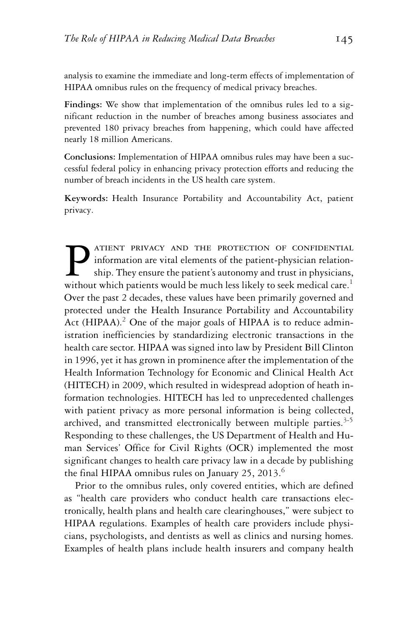analysis to examine the immediate and long-term effects of implementation of HIPAA omnibus rules on the frequency of medical privacy breaches.

**Findings:** We show that implementation of the omnibus rules led to a significant reduction in the number of breaches among business associates and prevented 180 privacy breaches from happening, which could have affected nearly 18 million Americans.

**Conclusions:** Implementation of HIPAA omnibus rules may have been a successful federal policy in enhancing privacy protection efforts and reducing the number of breach incidents in the US health care system.

**Keywords:** Health Insurance Portability and Accountability Act, patient privacy.

**PATIENT PRIVACY AND THE PROTECTION OF CONFIDENTIAL**<br>information are vital elements of the patient-physician relation-<br>ship. They ensure the patient's autonomy and trust in physicians,<br>without which patients would be much information are vital elements of the patient-physician relationship. They ensure the patient's autonomy and trust in physicians, without which patients would be much less likely to seek medical care.<sup>1</sup> Over the past 2 decades, these values have been primarily governed and protected under the Health Insurance Portability and Accountability Act (HIPAA).<sup>2</sup> One of the major goals of HIPAA is to reduce administration inefficiencies by standardizing electronic transactions in the health care sector. HIPAA was signed into law by President Bill Clinton in 1996, yet it has grown in prominence after the implementation of the Health Information Technology for Economic and Clinical Health Act (HITECH) in 2009, which resulted in widespread adoption of heath information technologies. HITECH has led to unprecedented challenges with patient privacy as more personal information is being collected, archived, and transmitted electronically between multiple parties. $3-5$ Responding to these challenges, the US Department of Health and Human Services' Office for Civil Rights (OCR) implemented the most significant changes to health care privacy law in a decade by publishing the final HIPAA omnibus rules on January 25, 2013. $^6$ 

Prior to the omnibus rules, only covered entities, which are defined as "health care providers who conduct health care transactions electronically, health plans and health care clearinghouses," were subject to HIPAA regulations. Examples of health care providers include physicians, psychologists, and dentists as well as clinics and nursing homes. Examples of health plans include health insurers and company health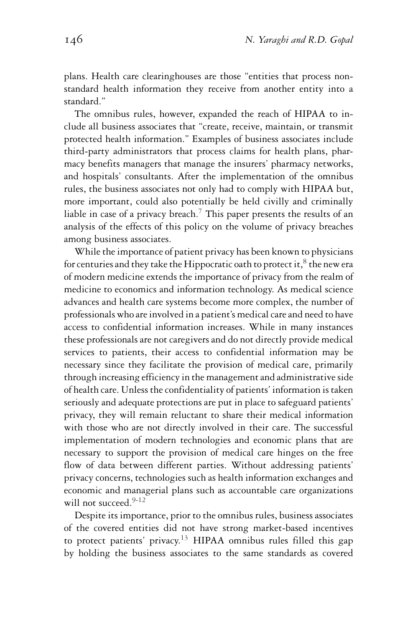plans. Health care clearinghouses are those "entities that process nonstandard health information they receive from another entity into a standard."

The omnibus rules, however, expanded the reach of HIPAA to include all business associates that "create, receive, maintain, or transmit protected health information." Examples of business associates include third-party administrators that process claims for health plans, pharmacy benefits managers that manage the insurers' pharmacy networks, and hospitals' consultants. After the implementation of the omnibus rules, the business associates not only had to comply with HIPAA but, more important, could also potentially be held civilly and criminally liable in case of a privacy breach.<sup>7</sup> This paper presents the results of an analysis of the effects of this policy on the volume of privacy breaches among business associates.

While the importance of patient privacy has been known to physicians for centuries and they take the Hippocratic oath to protect it, ${}^{8}$  the new era of modern medicine extends the importance of privacy from the realm of medicine to economics and information technology. As medical science advances and health care systems become more complex, the number of professionals who are involved in a patient's medical care and need to have access to confidential information increases. While in many instances these professionals are not caregivers and do not directly provide medical services to patients, their access to confidential information may be necessary since they facilitate the provision of medical care, primarily through increasing efficiency in the management and administrative side of health care. Unless the confidentiality of patients' information is taken seriously and adequate protections are put in place to safeguard patients' privacy, they will remain reluctant to share their medical information with those who are not directly involved in their care. The successful implementation of modern technologies and economic plans that are necessary to support the provision of medical care hinges on the free flow of data between different parties. Without addressing patients' privacy concerns, technologies such as health information exchanges and economic and managerial plans such as accountable care organizations will not succeed.<sup>9-12</sup>

Despite its importance, prior to the omnibus rules, business associates of the covered entities did not have strong market-based incentives to protect patients' privacy.<sup>13</sup> HIPAA omnibus rules filled this gap by holding the business associates to the same standards as covered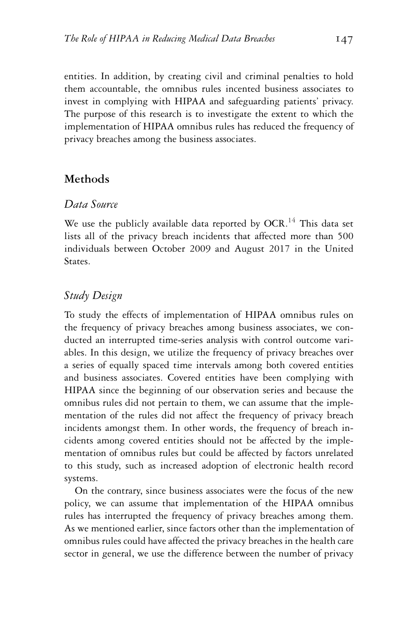entities. In addition, by creating civil and criminal penalties to hold them accountable, the omnibus rules incented business associates to invest in complying with HIPAA and safeguarding patients' privacy. The purpose of this research is to investigate the extent to which the implementation of HIPAA omnibus rules has reduced the frequency of privacy breaches among the business associates.

#### **Methods**

#### *Data Source*

We use the publicly available data reported by  $OCR$ .<sup>14</sup> This data set lists all of the privacy breach incidents that affected more than 500 individuals between October 2009 and August 2017 in the United States.

#### *Study Design*

To study the effects of implementation of HIPAA omnibus rules on the frequency of privacy breaches among business associates, we conducted an interrupted time-series analysis with control outcome variables. In this design, we utilize the frequency of privacy breaches over a series of equally spaced time intervals among both covered entities and business associates. Covered entities have been complying with HIPAA since the beginning of our observation series and because the omnibus rules did not pertain to them, we can assume that the implementation of the rules did not affect the frequency of privacy breach incidents amongst them. In other words, the frequency of breach incidents among covered entities should not be affected by the implementation of omnibus rules but could be affected by factors unrelated to this study, such as increased adoption of electronic health record systems.

On the contrary, since business associates were the focus of the new policy, we can assume that implementation of the HIPAA omnibus rules has interrupted the frequency of privacy breaches among them. As we mentioned earlier, since factors other than the implementation of omnibus rules could have affected the privacy breaches in the health care sector in general, we use the difference between the number of privacy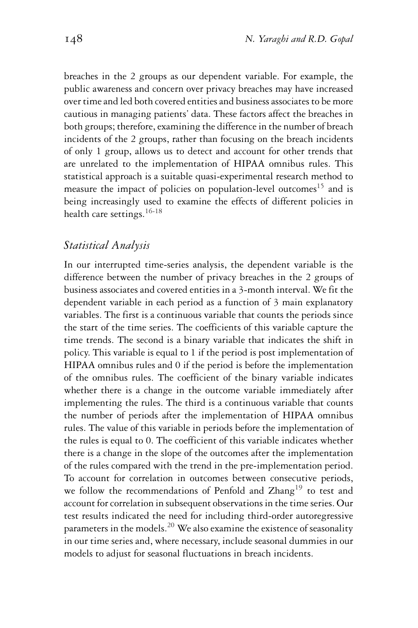breaches in the 2 groups as our dependent variable. For example, the public awareness and concern over privacy breaches may have increased over time and led both covered entities and business associates to be more cautious in managing patients' data. These factors affect the breaches in both groups; therefore, examining the difference in the number of breach incidents of the 2 groups, rather than focusing on the breach incidents of only 1 group, allows us to detect and account for other trends that are unrelated to the implementation of HIPAA omnibus rules. This statistical approach is a suitable quasi-experimental research method to measure the impact of policies on population-level outcomes<sup>15</sup> and is being increasingly used to examine the effects of different policies in health care settings.<sup>16-18</sup>

#### *Statistical Analysis*

In our interrupted time-series analysis, the dependent variable is the difference between the number of privacy breaches in the 2 groups of business associates and covered entities in a 3-month interval. We fit the dependent variable in each period as a function of 3 main explanatory variables. The first is a continuous variable that counts the periods since the start of the time series. The coefficients of this variable capture the time trends. The second is a binary variable that indicates the shift in policy. This variable is equal to 1 if the period is post implementation of HIPAA omnibus rules and 0 if the period is before the implementation of the omnibus rules. The coefficient of the binary variable indicates whether there is a change in the outcome variable immediately after implementing the rules. The third is a continuous variable that counts the number of periods after the implementation of HIPAA omnibus rules. The value of this variable in periods before the implementation of the rules is equal to 0. The coefficient of this variable indicates whether there is a change in the slope of the outcomes after the implementation of the rules compared with the trend in the pre-implementation period. To account for correlation in outcomes between consecutive periods, we follow the recommendations of Penfold and Zhang<sup>19</sup> to test and account for correlation in subsequent observations in the time series. Our test results indicated the need for including third-order autoregressive parameters in the models.<sup>20</sup> We also examine the existence of seasonality in our time series and, where necessary, include seasonal dummies in our models to adjust for seasonal fluctuations in breach incidents.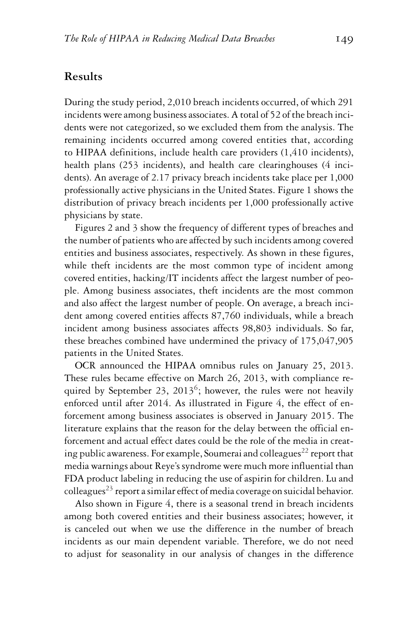#### **Results**

During the study period, 2,010 breach incidents occurred, of which 291 incidents were among business associates. A total of 52 of the breach incidents were not categorized, so we excluded them from the analysis. The remaining incidents occurred among covered entities that, according to HIPAA definitions, include health care providers (1,410 incidents), health plans (253 incidents), and health care clearinghouses (4 incidents). An average of 2.17 privacy breach incidents take place per 1,000 professionally active physicians in the United States. Figure 1 shows the distribution of privacy breach incidents per 1,000 professionally active physicians by state.

Figures 2 and 3 show the frequency of different types of breaches and the number of patients who are affected by such incidents among covered entities and business associates, respectively. As shown in these figures, while theft incidents are the most common type of incident among covered entities, hacking/IT incidents affect the largest number of people. Among business associates, theft incidents are the most common and also affect the largest number of people. On average, a breach incident among covered entities affects 87,760 individuals, while a breach incident among business associates affects 98,803 individuals. So far, these breaches combined have undermined the privacy of 175,047,905 patients in the United States.

OCR announced the HIPAA omnibus rules on January 25, 2013. These rules became effective on March 26, 2013, with compliance required by September 23, 2013<sup>6</sup>; however, the rules were not heavily enforced until after 2014. As illustrated in Figure 4, the effect of enforcement among business associates is observed in January 2015. The literature explains that the reason for the delay between the official enforcement and actual effect dates could be the role of the media in creating public awareness. For example, Soumerai and colleagues<sup>22</sup> report that media warnings about Reye's syndrome were much more influential than FDA product labeling in reducing the use of aspirin for children. Lu and colleagues<sup>23</sup> report a similar effect of media coverage on suicidal behavior.

Also shown in Figure 4, there is a seasonal trend in breach incidents among both covered entities and their business associates; however, it is canceled out when we use the difference in the number of breach incidents as our main dependent variable. Therefore, we do not need to adjust for seasonality in our analysis of changes in the difference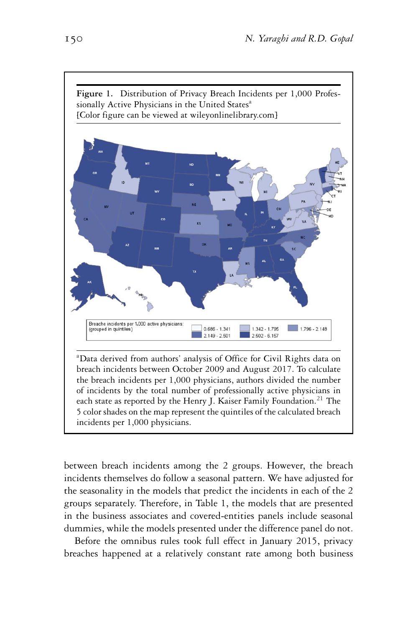

breach incidents between October 2009 and August 2017. To calculate the breach incidents per 1,000 physicians, authors divided the number of incidents by the total number of professionally active physicians in each state as reported by the Henry J. Kaiser Family Foundation.<sup>21</sup> The 5 color shades on the map represent the quintiles of the calculated breach incidents per 1,000 physicians.

between breach incidents among the 2 groups. However, the breach incidents themselves do follow a seasonal pattern. We have adjusted for the seasonality in the models that predict the incidents in each of the 2 groups separately. Therefore, in Table 1, the models that are presented in the business associates and covered-entities panels include seasonal dummies, while the models presented under the difference panel do not.

Before the omnibus rules took full effect in January 2015, privacy breaches happened at a relatively constant rate among both business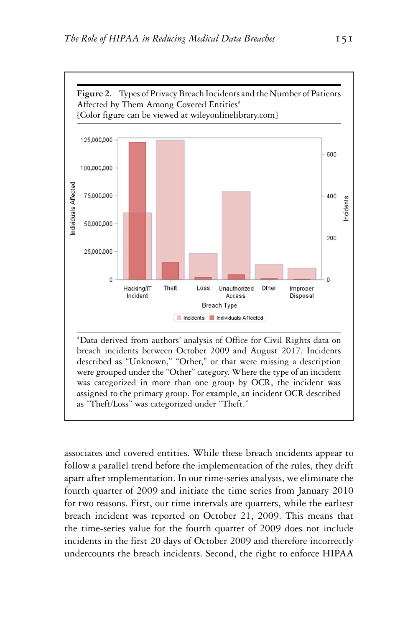

breach incidents between October 2009 and August 2017. Incidents described as "Unknown," "Other," or that were missing a description were grouped under the "Other" category. Where the type of an incident was categorized in more than one group by OCR, the incident was assigned to the primary group. For example, an incident OCR described as "Theft/Loss" was categorized under "Theft."

associates and covered entities. While these breach incidents appear to follow a parallel trend before the implementation of the rules, they drift apart after implementation. In our time-series analysis, we eliminate the fourth quarter of 2009 and initiate the time series from January 2010 for two reasons. First, our time intervals are quarters, while the earliest breach incident was reported on October 21, 2009. This means that the time-series value for the fourth quarter of 2009 does not include incidents in the first 20 days of October 2009 and therefore incorrectly undercounts the breach incidents. Second, the right to enforce HIPAA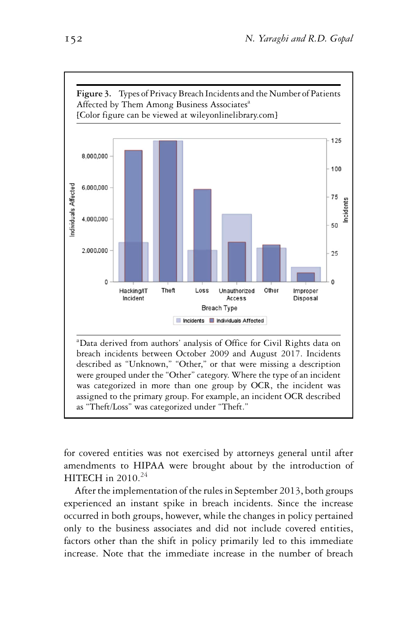

for covered entities was not exercised by attorneys general until after amendments to HIPAA were brought about by the introduction of HITECH in  $2010.<sup>24</sup>$ 

as "Theft/Loss" was categorized under "Theft."

After the implementation of the rules in September 2013, both groups experienced an instant spike in breach incidents. Since the increase occurred in both groups, however, while the changes in policy pertained only to the business associates and did not include covered entities, factors other than the shift in policy primarily led to this immediate increase. Note that the immediate increase in the number of breach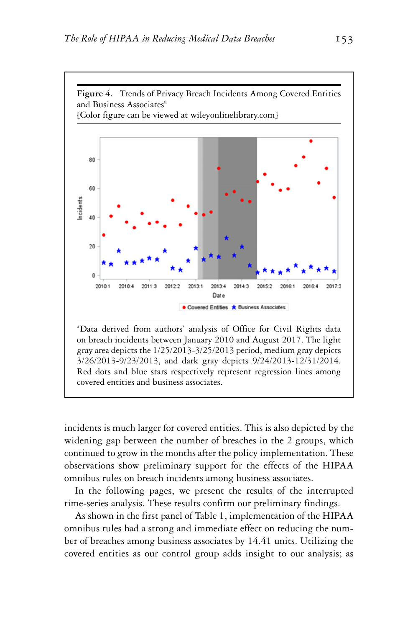

incidents is much larger for covered entities. This is also depicted by the widening gap between the number of breaches in the 2 groups, which continued to grow in the months after the policy implementation. These observations show preliminary support for the effects of the HIPAA omnibus rules on breach incidents among business associates.

In the following pages, we present the results of the interrupted time-series analysis. These results confirm our preliminary findings.

As shown in the first panel of Table 1, implementation of the HIPAA omnibus rules had a strong and immediate effect on reducing the number of breaches among business associates by 14.41 units. Utilizing the covered entities as our control group adds insight to our analysis; as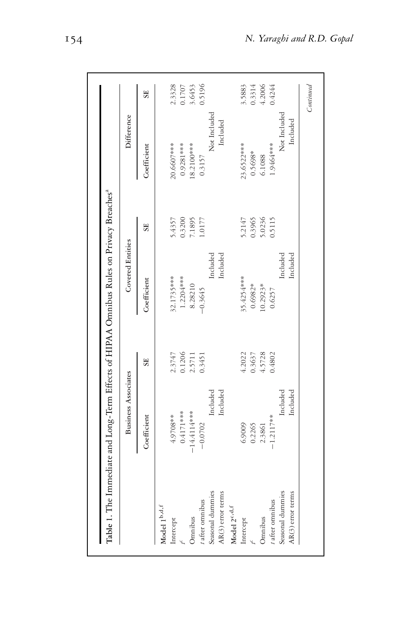|                                     | Business Associates |                | <b>Covered Entities</b> |                  | Difference   |           |
|-------------------------------------|---------------------|----------------|-------------------------|------------------|--------------|-----------|
|                                     | Coefficient         | SE <sub></sub> | Coefficient             | SE <sub></sub>   | Coefficient  | <b>SE</b> |
| Model $1^{\mathrm{b,d},\mathrm{f}}$ |                     |                |                         |                  |              |           |
| Intercept                           | 4.9708**            | 2.3747         | 32.1735****             | 5.4357           | 20.6607****  | 2.3328    |
|                                     | $0.4171***$         | 0.1206         | 1.2204***               | 0.3200           | 0.9281 ***   | 0.1707    |
| Omnibus                             | $-14.4114***$       | 2.5711         | 8.28210                 | 7.1895           | $8.2100***$  | 3.6453    |
| $t$ after omnibus                   | $-0.0702$           | 0.3451         | $-0.3645$               | 1.0177           | 0.3157       | 0.5196    |
| Seasonal dummies                    | Included            |                | ncluded                 |                  | Not Included |           |
| AR(3) error terms                   | Included            |                | Included                |                  | Included     |           |
| Model 2 <sup>c, d,f</sup>           |                     |                |                         |                  |              |           |
| Intercept                           | 6.9009              | 4.2022         | 35.4254****             |                  | 23.6522***   | 3.5883    |
|                                     | 0.2265              | 0.3637         | 0.6982*                 | 5.2147<br>0.3965 | 0.5698*      | 0.3314    |
| Omnibus                             | 2.3861              | 4.5728         | $10.2923*$              | 5.0236<br>0.5115 | 6.1088       | 4.2006    |
| t after omnibus                     | $-1.2117**$         | 0.4802         | 0.6257                  |                  | 1.9464 ***   | 0.4244    |
| Seasonal dummies                    | Included            |                | Included                |                  | Not Included |           |
| AR(3) error terms                   | Included            |                | Included                |                  | Included     |           |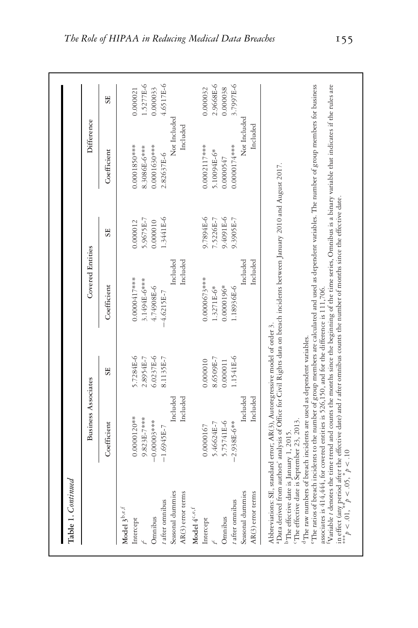|                                                                                                  | <b>Business Associates</b>                                                                                                                                                                                                                                    |                | Covered Entities                                                                                                                                                                                                                                                                                                                                                                                                                                                                                                                                                                                                                          |                | Difference     |           |
|--------------------------------------------------------------------------------------------------|---------------------------------------------------------------------------------------------------------------------------------------------------------------------------------------------------------------------------------------------------------------|----------------|-------------------------------------------------------------------------------------------------------------------------------------------------------------------------------------------------------------------------------------------------------------------------------------------------------------------------------------------------------------------------------------------------------------------------------------------------------------------------------------------------------------------------------------------------------------------------------------------------------------------------------------------|----------------|----------------|-----------|
|                                                                                                  | Coefficient                                                                                                                                                                                                                                                   | SE <sub></sub> | Coefficient                                                                                                                                                                                                                                                                                                                                                                                                                                                                                                                                                                                                                               | SE <sub></sub> | Coefficient    | SE        |
| Model $3^{\mathrm{b,e,f}}$                                                                       |                                                                                                                                                                                                                                                               |                |                                                                                                                                                                                                                                                                                                                                                                                                                                                                                                                                                                                                                                           |                |                |           |
| Intercept                                                                                        | $0.0000120**$                                                                                                                                                                                                                                                 | 5.7284E-6      | 0.0000417***                                                                                                                                                                                                                                                                                                                                                                                                                                                                                                                                                                                                                              | 0.000012       | $0.0001850***$ | 0.000021  |
|                                                                                                  | 9.823E-7***                                                                                                                                                                                                                                                   | 2.8954E-7      | 3.1494E-6***                                                                                                                                                                                                                                                                                                                                                                                                                                                                                                                                                                                                                              | 5.9675E-7      | 8.3086E-6***   | 1.5277E-6 |
| Omnibus                                                                                          | $-0.00003***$                                                                                                                                                                                                                                                 | 6.0237E-6      | 4.74908E-6                                                                                                                                                                                                                                                                                                                                                                                                                                                                                                                                                                                                                                | 0.000010       | 0.0001630***   | 0.000033  |
| t after omnibus                                                                                  | $-1.6945E-7$                                                                                                                                                                                                                                                  | 8.1135E-7      | $-4.6215E-7$                                                                                                                                                                                                                                                                                                                                                                                                                                                                                                                                                                                                                              | 1.3441E-6      | 2.82637E-6     | 4.6517E-6 |
| Seasonal dummies                                                                                 | Included                                                                                                                                                                                                                                                      |                | Included                                                                                                                                                                                                                                                                                                                                                                                                                                                                                                                                                                                                                                  |                | Not Included   |           |
| AR(3) error terms                                                                                | Included                                                                                                                                                                                                                                                      |                | Included                                                                                                                                                                                                                                                                                                                                                                                                                                                                                                                                                                                                                                  |                | Included       |           |
| Model $4^c$ , $e$ , $f$                                                                          |                                                                                                                                                                                                                                                               |                |                                                                                                                                                                                                                                                                                                                                                                                                                                                                                                                                                                                                                                           |                |                |           |
| Intercept                                                                                        | 0.0000167                                                                                                                                                                                                                                                     | 0.000010       | $0.0000673***$                                                                                                                                                                                                                                                                                                                                                                                                                                                                                                                                                                                                                            | 9-394E-6       | $0.0002117***$ | 0.000032  |
|                                                                                                  | 5.46624E-7                                                                                                                                                                                                                                                    | 8.6509E-7      | $1.3271E-6*$                                                                                                                                                                                                                                                                                                                                                                                                                                                                                                                                                                                                                              | 7.5226E-7      | 5.10094E-6*    | 2.9668E-6 |
| Omnibus                                                                                          | 5.75741E-6                                                                                                                                                                                                                                                    | 0.000011       | 0.0000196*                                                                                                                                                                                                                                                                                                                                                                                                                                                                                                                                                                                                                                | 9.4091E-6      | 0.0000547      | 0.000038  |
| after omnibus                                                                                    | $-2.938E-6***$                                                                                                                                                                                                                                                | 1.1541E-6      | 1.18936E-6                                                                                                                                                                                                                                                                                                                                                                                                                                                                                                                                                                                                                                | 9.3905E-7      | $0.0000174***$ | 3.7997E-6 |
| Seasonal dummies                                                                                 | Included                                                                                                                                                                                                                                                      |                | Included                                                                                                                                                                                                                                                                                                                                                                                                                                                                                                                                                                                                                                  |                | Not Included   |           |
| AR(3) error terms                                                                                | Included                                                                                                                                                                                                                                                      |                | Included                                                                                                                                                                                                                                                                                                                                                                                                                                                                                                                                                                                                                                  |                | Included       |           |
| The effective date is September 23, 2013.<br><sup>b</sup> The effective date is January 1, 2015. | associates is 414,444, for covered entities is 526,150, and for the difference is 111,706.<br>Abbreviations: SE, standard error; AR(3), Autoregressive model of order 3.<br><sup>d</sup> The raw numbers of breach incidents are used as dependent variables. |                | "The ratios of breach incidents to the number of group members are calculated and used as dependent variables. The number of group members for business<br>Variable 1 denotes the time trend and counts the months since the beginning of the time series, Omnibus is a binary variable that indicates if the rules are<br><sup>1</sup> Data derived from authors' analysis of Office for Civil Rights data on breach incidents between January 2010 and August 2017.<br>in effect (any period after the effective date) and t after omnibus counts the number of months since the effective date.<br>*** $p < 0.0$ , * $p < 10$ $p < 10$ |                |                |           |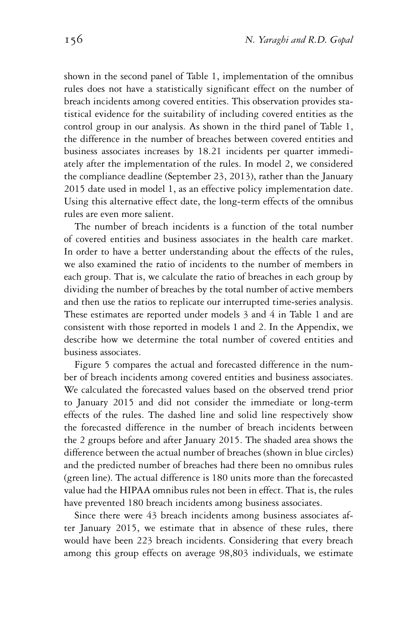shown in the second panel of Table 1, implementation of the omnibus rules does not have a statistically significant effect on the number of breach incidents among covered entities. This observation provides statistical evidence for the suitability of including covered entities as the control group in our analysis. As shown in the third panel of Table 1, the difference in the number of breaches between covered entities and business associates increases by 18.21 incidents per quarter immediately after the implementation of the rules. In model 2, we considered the compliance deadline (September 23, 2013), rather than the January 2015 date used in model 1, as an effective policy implementation date. Using this alternative effect date, the long-term effects of the omnibus rules are even more salient.

The number of breach incidents is a function of the total number of covered entities and business associates in the health care market. In order to have a better understanding about the effects of the rules, we also examined the ratio of incidents to the number of members in each group. That is, we calculate the ratio of breaches in each group by dividing the number of breaches by the total number of active members and then use the ratios to replicate our interrupted time-series analysis. These estimates are reported under models 3 and 4 in Table 1 and are consistent with those reported in models 1 and 2. In the Appendix, we describe how we determine the total number of covered entities and business associates.

Figure 5 compares the actual and forecasted difference in the number of breach incidents among covered entities and business associates. We calculated the forecasted values based on the observed trend prior to January 2015 and did not consider the immediate or long-term effects of the rules. The dashed line and solid line respectively show the forecasted difference in the number of breach incidents between the 2 groups before and after January 2015. The shaded area shows the difference between the actual number of breaches (shown in blue circles) and the predicted number of breaches had there been no omnibus rules (green line). The actual difference is 180 units more than the forecasted value had the HIPAA omnibus rules not been in effect. That is, the rules have prevented 180 breach incidents among business associates.

Since there were 43 breach incidents among business associates after January 2015, we estimate that in absence of these rules, there would have been 223 breach incidents. Considering that every breach among this group effects on average 98,803 individuals, we estimate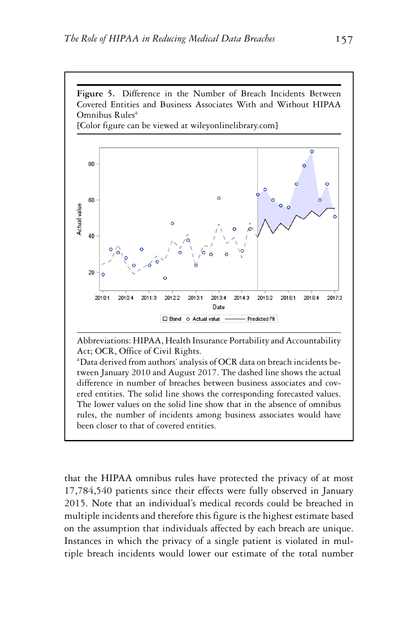

Abbreviations: HIPAA, Health Insurance Portability and Accountability Act; OCR, Office of Civil Rights.

a Data derived from authors' analysis of OCR data on breach incidents between January 2010 and August 2017. The dashed line shows the actual difference in number of breaches between business associates and covered entities. The solid line shows the corresponding forecasted values. The lower values on the solid line show that in the absence of omnibus rules, the number of incidents among business associates would have been closer to that of covered entities.

that the HIPAA omnibus rules have protected the privacy of at most 17,784,540 patients since their effects were fully observed in January 2015. Note that an individual's medical records could be breached in multiple incidents and therefore this figure is the highest estimate based on the assumption that individuals affected by each breach are unique. Instances in which the privacy of a single patient is violated in multiple breach incidents would lower our estimate of the total number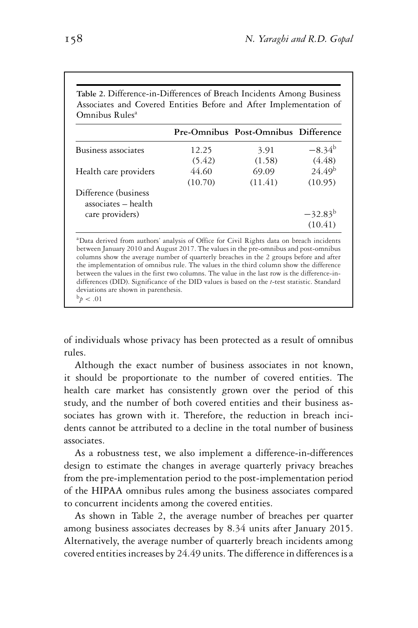|                                              |         | Pre-Omnibus Post-Omnibus Difference |                    |
|----------------------------------------------|---------|-------------------------------------|--------------------|
| Business associates                          | 12.25   | 3.91                                | $-8.34^{b}$        |
|                                              | (5.42)  | (1.58)                              | (4.48)             |
| Health care providers                        | 44.60   | 69.09                               | 24.49 <sup>b</sup> |
|                                              | (10.70) | (11.41)                             | (10.95)            |
| Difference (business)<br>associates - health |         |                                     |                    |
| care providers)                              |         |                                     | $-32.83^{b}$       |
|                                              |         |                                     | (10.41)            |

**Table 2.** Difference-in-Differences of Breach Incidents Among Business

a Data derived from authors' analysis of Office for Civil Rights data on breach incidents between January 2010 and August 2017. The values in the pre-omnibus and post-omnibus columns show the average number of quarterly breaches in the 2 groups before and after the implementation of omnibus rule. The values in the third column show the difference between the values in the first two columns. The value in the last row is the difference-indifferences (DID). Significance of the DID values is based on the *t*-test statistic. Standard deviations are shown in parenthesis.  $^{b}p$  < .01

of individuals whose privacy has been protected as a result of omnibus rules.

Although the exact number of business associates in not known, it should be proportionate to the number of covered entities. The health care market has consistently grown over the period of this study, and the number of both covered entities and their business associates has grown with it. Therefore, the reduction in breach incidents cannot be attributed to a decline in the total number of business associates.

As a robustness test, we also implement a difference-in-differences design to estimate the changes in average quarterly privacy breaches from the pre-implementation period to the post-implementation period of the HIPAA omnibus rules among the business associates compared to concurrent incidents among the covered entities.

As shown in Table 2, the average number of breaches per quarter among business associates decreases by 8.34 units after January 2015. Alternatively, the average number of quarterly breach incidents among covered entities increases by 24.49 units. The difference in differences is a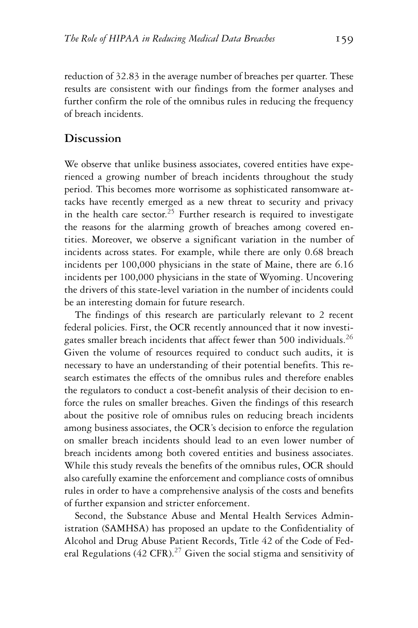reduction of 32.83 in the average number of breaches per quarter. These results are consistent with our findings from the former analyses and further confirm the role of the omnibus rules in reducing the frequency of breach incidents.

#### **Discussion**

We observe that unlike business associates, covered entities have experienced a growing number of breach incidents throughout the study period. This becomes more worrisome as sophisticated ransomware attacks have recently emerged as a new threat to security and privacy in the health care sector.<sup>25</sup> Further research is required to investigate the reasons for the alarming growth of breaches among covered entities. Moreover, we observe a significant variation in the number of incidents across states. For example, while there are only 0.68 breach incidents per 100,000 physicians in the state of Maine, there are 6.16 incidents per 100,000 physicians in the state of Wyoming. Uncovering the drivers of this state-level variation in the number of incidents could be an interesting domain for future research.

The findings of this research are particularly relevant to 2 recent federal policies. First, the OCR recently announced that it now investigates smaller breach incidents that affect fewer than 500 individuals.<sup>26</sup> Given the volume of resources required to conduct such audits, it is necessary to have an understanding of their potential benefits. This research estimates the effects of the omnibus rules and therefore enables the regulators to conduct a cost-benefit analysis of their decision to enforce the rules on smaller breaches. Given the findings of this research about the positive role of omnibus rules on reducing breach incidents among business associates, the OCR's decision to enforce the regulation on smaller breach incidents should lead to an even lower number of breach incidents among both covered entities and business associates. While this study reveals the benefits of the omnibus rules, OCR should also carefully examine the enforcement and compliance costs of omnibus rules in order to have a comprehensive analysis of the costs and benefits of further expansion and stricter enforcement.

Second, the Substance Abuse and Mental Health Services Administration (SAMHSA) has proposed an update to the Confidentiality of Alcohol and Drug Abuse Patient Records, Title 42 of the Code of Federal Regulations (42 CFR).<sup>27</sup> Given the social stigma and sensitivity of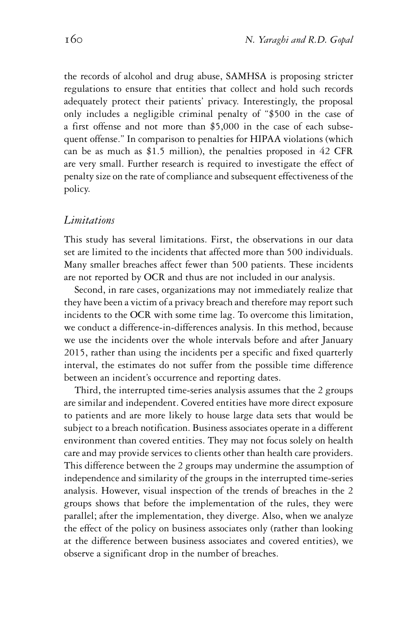the records of alcohol and drug abuse, SAMHSA is proposing stricter regulations to ensure that entities that collect and hold such records adequately protect their patients' privacy. Interestingly, the proposal only includes a negligible criminal penalty of "\$500 in the case of a first offense and not more than \$5,000 in the case of each subsequent offense." In comparison to penalties for HIPAA violations (which can be as much as \$1.5 million), the penalties proposed in 42 CFR are very small. Further research is required to investigate the effect of penalty size on the rate of compliance and subsequent effectiveness of the policy.

#### *Limitations*

This study has several limitations. First, the observations in our data set are limited to the incidents that affected more than 500 individuals. Many smaller breaches affect fewer than 500 patients. These incidents are not reported by OCR and thus are not included in our analysis.

Second, in rare cases, organizations may not immediately realize that they have been a victim of a privacy breach and therefore may report such incidents to the OCR with some time lag. To overcome this limitation, we conduct a difference-in-differences analysis. In this method, because we use the incidents over the whole intervals before and after January 2015, rather than using the incidents per a specific and fixed quarterly interval, the estimates do not suffer from the possible time difference between an incident's occurrence and reporting dates.

Third, the interrupted time-series analysis assumes that the 2 groups are similar and independent. Covered entities have more direct exposure to patients and are more likely to house large data sets that would be subject to a breach notification. Business associates operate in a different environment than covered entities. They may not focus solely on health care and may provide services to clients other than health care providers. This difference between the 2 groups may undermine the assumption of independence and similarity of the groups in the interrupted time-series analysis. However, visual inspection of the trends of breaches in the 2 groups shows that before the implementation of the rules, they were parallel; after the implementation, they diverge. Also, when we analyze the effect of the policy on business associates only (rather than looking at the difference between business associates and covered entities), we observe a significant drop in the number of breaches.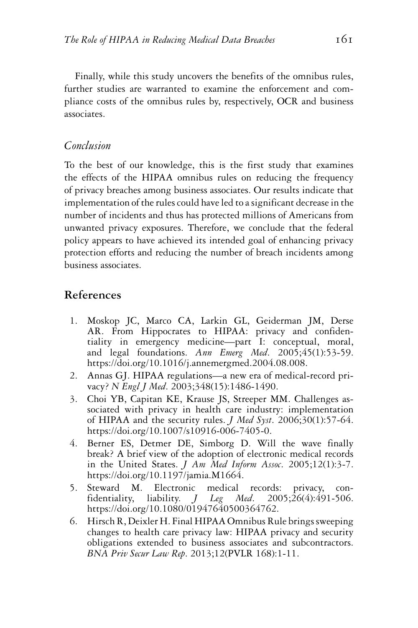Finally, while this study uncovers the benefits of the omnibus rules, further studies are warranted to examine the enforcement and compliance costs of the omnibus rules by, respectively, OCR and business associates.

#### *Conclusion*

To the best of our knowledge, this is the first study that examines the effects of the HIPAA omnibus rules on reducing the frequency of privacy breaches among business associates. Our results indicate that implementation of the rules could have led to a significant decrease in the number of incidents and thus has protected millions of Americans from unwanted privacy exposures. Therefore, we conclude that the federal policy appears to have achieved its intended goal of enhancing privacy protection efforts and reducing the number of breach incidents among business associates.

## **References**

- 1. Moskop JC, Marco CA, Larkin GL, Geiderman JM, Derse AR. From Hippocrates to HIPAA: privacy and confidentiality in emergency medicine—part I: conceptual, moral, and legal foundations. *Ann Emerg Med*. 2005;45(1):53-59. [https://doi.org/10.1016/j.annemergmed.2004.08.008.](https://doi.org/10.1016/j.annemergmed.2004.08.008)
- 2. Annas GJ. HIPAA regulations—a new era of medical-record privacy? *N Engl J Med*. 2003;348(15):1486-1490.
- 3. Choi YB, Capitan KE, Krause JS, Streeper MM. Challenges associated with privacy in health care industry: implementation of HIPAA and the security rules. *J Med Syst*. 2006;30(1):57-64. [https://doi.org/10.1007/s10916-006-7405-0.](https://doi.org/10.1007/s10916-006-7405-0)
- 4. Berner ES, Detmer DE, Simborg D. Will the wave finally break? A brief view of the adoption of electronic medical records in the United States. *J Am Med Inform Assoc*. 2005;12(1):3-7. [https://doi.org/10.1197/jamia.M1664.](https://doi.org/10.1197/jamia.M1664)
- 5. Steward M. Electronic medical records: privacy, confidentiality, liability. *J Leg Med*. 2005;26(4):491-506. [https://doi.org/10.1080/01947640500364762.](https://doi.org/10.1080/01947640500364762)
- 6. Hirsch R, Deixler H. Final HIPAA Omnibus Rule brings sweeping changes to health care privacy law: HIPAA privacy and security obligations extended to business associates and subcontractors. *BNA Priv Secur Law Rep*. 2013;12(PVLR 168):1-11.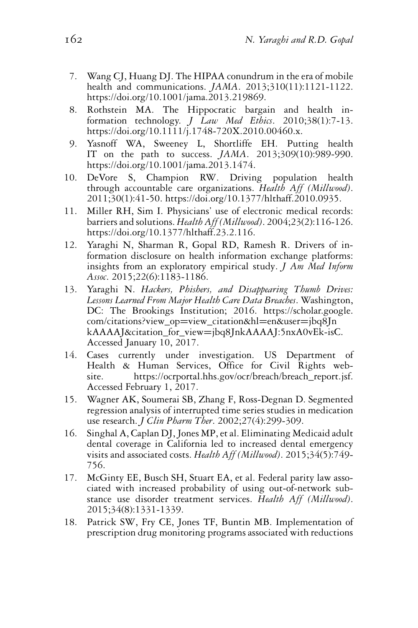- 7. Wang CJ, Huang DJ. The HIPAA conundrum in the era of mobile health and communications. *JAMA*. 2013;310(11):1121-1122. [https://doi.org/10.1001/jama.2013.219869.](https://doi.org/10.1001/jama.2013.219869)
- 8. Rothstein MA. The Hippocratic bargain and health information technology. *J Law Med Ethics*. 2010;38(1):7-13. [https://doi.org/10.1111/j.1748-720X.2010.00460.x.](https://doi.org/10.1111/j.1748-720X.2010.00460.x)
- 9. Yasnoff WA, Sweeney L, Shortliffe EH. Putting health IT on the path to success. *JAMA*. 2013;309(10):989-990. [https://doi.org/10.1001/jama.2013.1474.](https://doi.org/10.1001/jama.2013.1474)
- 10. DeVore S, Champion RW. Driving population health through accountable care organizations. *Health Aff (Millwood)*. 2011;30(1):41-50. [https://doi.org/10.1377/hlthaff.2010.0935.](https://doi.org/10.1377/hlthaff.2010.0935)
- 11. Miller RH, Sim I. Physicians' use of electronic medical records: barriers and solutions. *Health Aff (Millwood)*. 2004;23(2):116-126. [https://doi.org/10.1377/hlthaff.23.2.116.](https://doi.org/10.1377/hlthaff.23.2.116)
- 12. Yaraghi N, Sharman R, Gopal RD, Ramesh R. Drivers of information disclosure on health information exchange platforms: insights from an exploratory empirical study. *J Am Med Inform Assoc*. 2015;22(6):1183-1186.
- 13. Yaraghi N. *Hackers, Phishers, and Disappearing Thumb Drives: Lessons Learned From Major Health Care Data Breaches*. Washington, DC: The Brookings Institution; 2016. [https://scholar.google.](https://scholar.google.com/citations?view_op=view_citationhl=enuser=jbq8JnkAAAAJcitation_for_view=jbq8JnkAAAAJ:5nxA0vEk-isC) [com/citations?view\\_op](https://scholar.google.com/citations?view_op=view_citationhl=enuser=jbq8JnkAAAAJcitation_for_view=jbq8JnkAAAAJ:5nxA0vEk-isC)=view\_citation&hl=en&user=jbq8Jn kAAAAJ&citation\_for\_view=[jbq8JnkAAAAJ:5nxA0vEk-isC.](https://scholar.google.com/citations?view_op=view_citationhl=enuser=jbq8JnkAAAAJcitation_for_view=jbq8JnkAAAAJ:5nxA0vEk-isC) Accessed January 10, 2017.
- 14. Cases currently under investigation. US Department of Health & Human Services, Office for Civil Rights website. [https://ocrportal.hhs.gov/ocr/breach/breach\\_report.jsf.](https://ocrportal.hhs.gov/ocr/breach/breach_report.jsf) Accessed February 1, 2017.
- 15. Wagner AK, Soumerai SB, Zhang F, Ross-Degnan D. Segmented regression analysis of interrupted time series studies in medication use research. *J Clin Pharm Ther*. 2002;27(4):299-309.
- 16. Singhal A, Caplan DJ, Jones MP, et al. Eliminating Medicaid adult dental coverage in California led to increased dental emergency visits and associated costs. *Health Aff (Millwood)*. 2015;34(5):749- 756.
- 17. McGinty EE, Busch SH, Stuart EA, et al. Federal parity law associated with increased probability of using out-of-network substance use disorder treatment services. *Health Aff (Millwood)*. 2015;34(8):1331-1339.
- 18. Patrick SW, Fry CE, Jones TF, Buntin MB. Implementation of prescription drug monitoring programs associated with reductions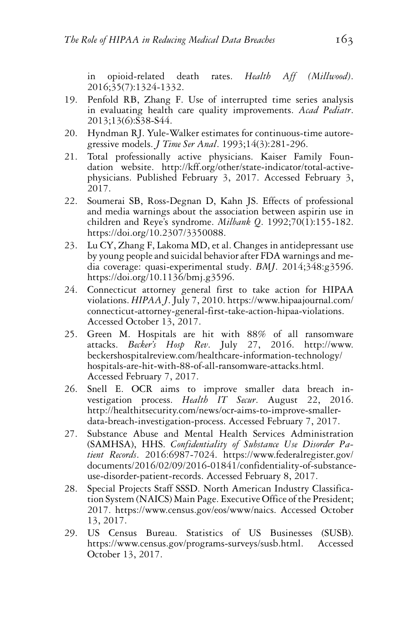in opioid-related death rates. *Health Aff (Millwood)*. 2016;35(7):1324-1332.

- 19. Penfold RB, Zhang F. Use of interrupted time series analysis in evaluating health care quality improvements. *Acad Pediatr*. 2013;13(6):S38-S44.
- 20. Hyndman RJ. Yule-Walker estimates for continuous-time autoregressive models. *J Time Ser Anal*. 1993;14(3):281-296.
- 21. Total professionally active physicians. Kaiser Family Foundation website. [http://kff.org/other/state-indicator/total-active](http://kff.org/other/state-indicator/total-active-physicians)[physicians.](http://kff.org/other/state-indicator/total-active-physicians) Published February 3, 2017. Accessed February 3, 2017.
- 22. Soumerai SB, Ross-Degnan D, Kahn JS. Effects of professional and media warnings about the association between aspirin use in children and Reye's syndrome. *Milbank Q*. 1992;70(1):155-182. [https://doi.org/10.2307/3350088.](https://doi.org/10.2307/3350088)
- 23. Lu CY, Zhang F, Lakoma MD, et al. Changes in antidepressant use by young people and suicidal behavior after FDA warnings and media coverage: quasi-experimental study. *BMJ*. 2014;348:g3596. [https://doi.org/10.1136/bmj.g3596.](https://doi.org/10.1136/bmj.g3596)
- 24. Connecticut attorney general first to take action for HIPAA violations. *HIPAA J*. July 7, 2010. [https://www.hipaajournal.com/](https://www.hipaajournal.com/connecticut-attorney-general-first-take-action-hipaa-violations) [connecticut-attorney-general-first-take-action-hipaa-violations.](https://www.hipaajournal.com/connecticut-attorney-general-first-take-action-hipaa-violations) Accessed October 13, 2017.
- 25. Green M. Hospitals are hit with 88% of all ransomware attacks. *Becker's Hosp Rev*. July 27, 2016. [http://www.](http://www.beckershospitalreview.com/healthcare-information-technology/hospitals-are-hit-with-88-of-all-ransomware-attacks.html) [beckershospitalreview.com/healthcare-information-technology/](http://www.beckershospitalreview.com/healthcare-information-technology/hospitals-are-hit-with-88-of-all-ransomware-attacks.html) [hospitals-are-hit-with-88-of-all-ransomware-attacks.html.](http://www.beckershospitalreview.com/healthcare-information-technology/hospitals-are-hit-with-88-of-all-ransomware-attacks.html) Accessed February 7, 2017.
- 26. Snell E. OCR aims to improve smaller data breach investigation process. *Health IT Secur*. August 22, 2016. [http://healthitsecurity.com/news/ocr-aims-to-improve-smaller](http://healthitsecurity.com/news/ocr-aims-to-improve-smaller-data-breach-investigation-process)[data-breach-investigation-process.](http://healthitsecurity.com/news/ocr-aims-to-improve-smaller-data-breach-investigation-process) Accessed February 7, 2017.
- 27. Substance Abuse and Mental Health Services Administration (SAMHSA), HHS. *Confidentiality of Substance Use Disorder Patient Records*. 2016:6987-7024. [https://www.federalregister.gov/](https://www.federalregister.gov/documents/2016/02/09/2016-01841/confidentiality-of-substance-use-disorder-patient-records) [documents/2016/02/09/2016-01841/confidentiality-of-substance](https://www.federalregister.gov/documents/2016/02/09/2016-01841/confidentiality-of-substance-use-disorder-patient-records)[use-disorder-patient-records.](https://www.federalregister.gov/documents/2016/02/09/2016-01841/confidentiality-of-substance-use-disorder-patient-records) Accessed February 8, 2017.
- 28. Special Projects Staff SSSD. North American Industry Classification System (NAICS) Main Page. Executive Office of the President; 2017. [https://www.census.gov/eos/www/naics.](https://www.census.gov/eos/www/naics) Accessed October 13, 2017.
- 29. US Census Bureau. Statistics of US Businesses (SUSB). [https://www.census.gov/programs-surveys/susb.html.](https://www.census.gov/programs-surveys/susb.html) Accessed October 13, 2017.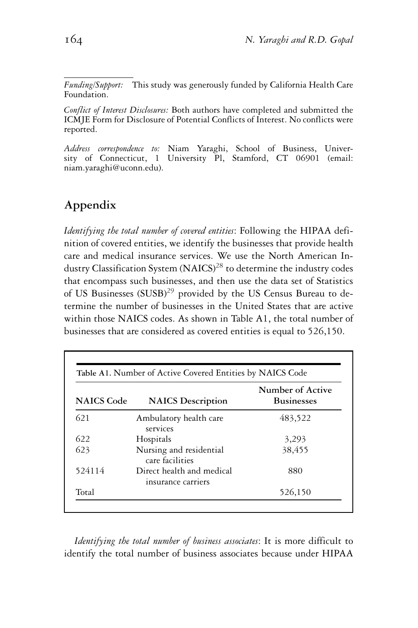*Funding/Support:* This study was generously funded by California Health Care Foundation.

*Conflict of Interest Disclosures:* Both authors have completed and submitted the ICMJE Form for Disclosure of Potential Conflicts of Interest. No conflicts were reported.

*Address correspondence to:* Niam Yaraghi, School of Business, University of Connecticut, 1 University Pl, Stamford, CT 06901 (email: niam.yaraghi@uconn.edu).

# **Appendix**

*Identifying the total number of covered entities*: Following the HIPAA definition of covered entities, we identify the businesses that provide health care and medical insurance services. We use the North American Industry Classification System (NAICS)<sup>28</sup> to determine the industry codes that encompass such businesses, and then use the data set of Statistics of US Businesses  $(SUSB)^{29}$  provided by the US Census Bureau to determine the number of businesses in the United States that are active within those NAICS codes. As shown in Table A1, the total number of businesses that are considered as covered entities is equal to 526,150.

| <b>NAICS</b> Code | <b>NAICS</b> Description                        | Number of Active<br><b>Businesses</b> |
|-------------------|-------------------------------------------------|---------------------------------------|
| 621               | Ambulatory health care<br>services              | 483,522                               |
| 622               | Hospitals                                       | 3,293                                 |
| 623               | Nursing and residential<br>care facilities      | 38,455                                |
| 524114            | Direct health and medical<br>insurance carriers | 880                                   |
| Total             |                                                 | 526,150                               |

*Identifying the total number of business associates*: It is more difficult to identify the total number of business associates because under HIPAA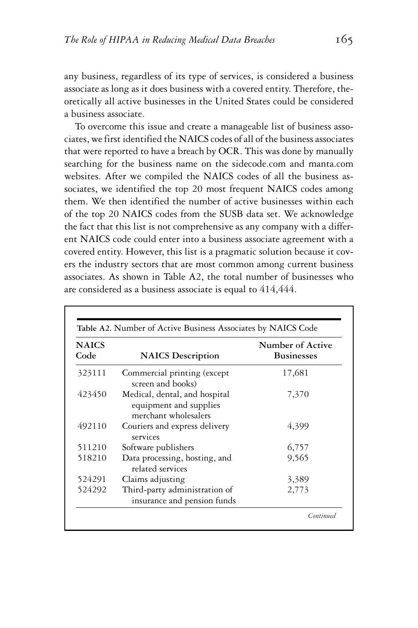any business, regardless of its type of services, is considered a business associate as long as it does business with a covered entity. Therefore, theoretically all active businesses in the United States could be considered a business associate.

To overcome this issue and create a manageable list of business associates, we first identified the NAICS codes of all of the business associates that were reported to have a breach by OCR. This was done by manually searching for the business name on the sidecode.com and manta.com websites. After we compiled the NAICS codes of all the business associates, we identified the top 20 most frequent NAICS codes among them. We then identified the number of active businesses within each of the top 20 NAICS codes from the SUSB data set. We acknowledge the fact that this list is not comprehensive as any company with a different NAICS code could enter into a business associate agreement with a covered entity. However, this list is a pragmatic solution because it covers the industry sectors that are most common among current business associates. As shown in Table A2, the total number of businesses who are considered as a business associate is equal to 414,444.

| <b>NAICS</b><br>Code | <b>NAICS</b> Description                                                        | Number of Active<br><b>Businesses</b> |
|----------------------|---------------------------------------------------------------------------------|---------------------------------------|
| 323111               | Commercial printing (except<br>screen and books)                                | 17,681                                |
| 423450               | Medical, dental, and hospital<br>equipment and supplies<br>merchant wholesalers | 7,370                                 |
| 492110               | Couriers and express delivery<br>services                                       | 4,399                                 |
| 511210               | Software publishers                                                             | 6,757                                 |
| 518210               | Data processing, hosting, and<br>related services                               | 9,565                                 |
| 524291               | Claims adjusting                                                                | 3,389                                 |
| 524292               | Third-party administration of<br>insurance and pension funds                    | 2,773                                 |